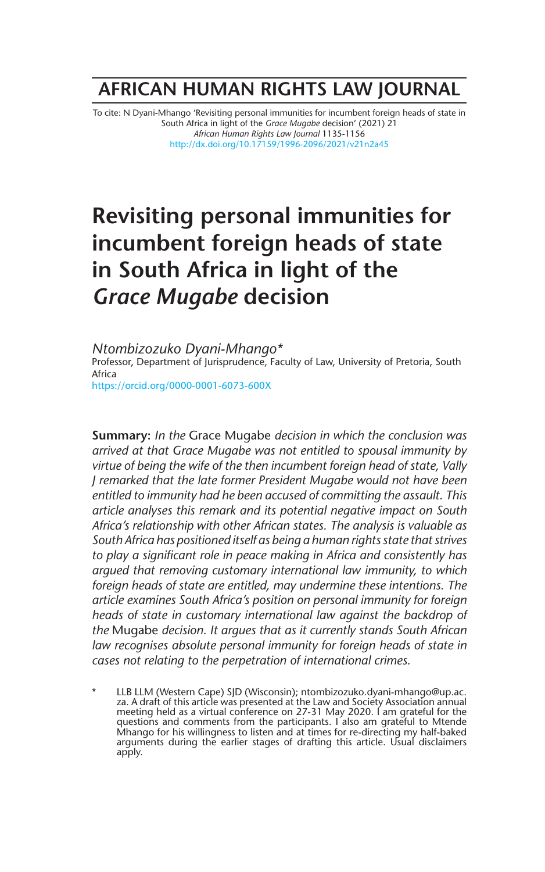# **AFRICAN HUMAN RIGHTS LAW JOURNAL**

To cite: N Dyani-Mhango 'Revisiting personal immunities for incumbent foreign heads of state in South Africa in light of the *Grace Mugabe* decision' (2021) 21 *African Human Rights Law Journal* 1135-1156 http://dx.doi.org/10.17159/1996-2096/2021/v21n2a45

# **Revisiting personal immunities for incumbent foreign heads of state in South Africa in light of the**  *Grace Mugabe* **decision**

*Ntombizozuko Dyani-Mhango\** Professor, Department of Jurisprudence, Faculty of Law, University of Pretoria, South Africa https://orcid.org/0000-0001-6073-600X

**Summary:** *In the* Grace Mugabe *decision in which the conclusion was arrived at that Grace Mugabe was not entitled to spousal immunity by virtue of being the wife of the then incumbent foreign head of state, Vally J remarked that the late former President Mugabe would not have been entitled to immunity had he been accused of committing the assault. This article analyses this remark and its potential negative impact on South Africa's relationship with other African states. The analysis is valuable as South Africa has positioned itself as being a human rights state that strives to play a significant role in peace making in Africa and consistently has argued that removing customary international law immunity, to which foreign heads of state are entitled, may undermine these intentions. The article examines South Africa's position on personal immunity for foreign heads of state in customary international law against the backdrop of the* Mugabe *decision. It argues that as it currently stands South African*  law recognises absolute personal immunity for foreign heads of state in *cases not relating to the perpetration of international crimes.* 

LLB LLM (Western Cape) SJD (Wisconsin); ntombizozuko.dyani-mhango@up.ac. za. A draft of this article was presented at the Law and Society Association annual meeting held as a virtual conference on 27-31 May 2020. I am grateful for the questions and comments from the participants. I also am grateful to Mtende Mhango for his willingness to listen and at times for re-directing my half-baked arguments during the earlier stages of drafting this article. Usual disclaimers apply.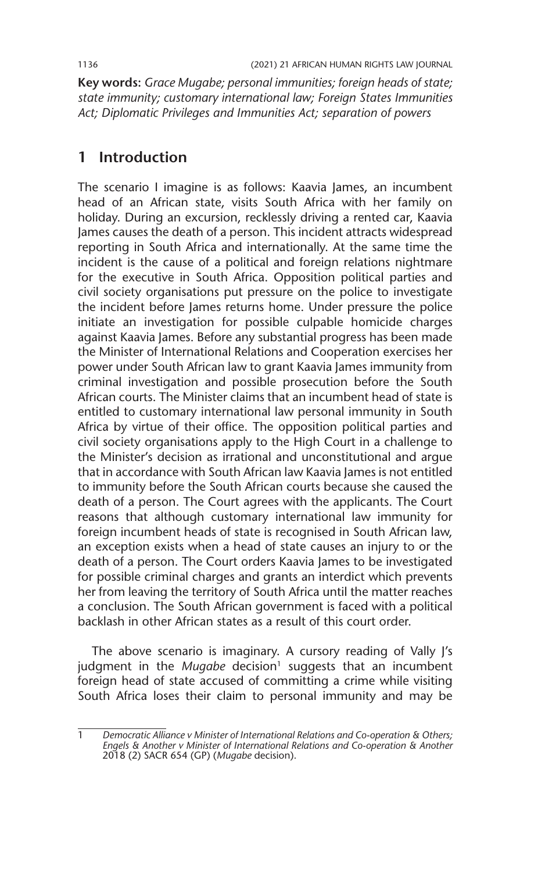**Key words:** *Grace Mugabe; personal immunities; foreign heads of state; state immunity; customary international law; Foreign States Immunities Act; Diplomatic Privileges and Immunities Act; separation of powers*

## **1 Introduction**

The scenario I imagine is as follows: Kaavia James, an incumbent head of an African state, visits South Africa with her family on holiday. During an excursion, recklessly driving a rented car, Kaavia James causes the death of a person. This incident attracts widespread reporting in South Africa and internationally. At the same time the incident is the cause of a political and foreign relations nightmare for the executive in South Africa. Opposition political parties and civil society organisations put pressure on the police to investigate the incident before James returns home. Under pressure the police initiate an investigation for possible culpable homicide charges against Kaavia James. Before any substantial progress has been made the Minister of International Relations and Cooperation exercises her power under South African law to grant Kaavia James immunity from criminal investigation and possible prosecution before the South African courts. The Minister claims that an incumbent head of state is entitled to customary international law personal immunity in South Africa by virtue of their office. The opposition political parties and civil society organisations apply to the High Court in a challenge to the Minister's decision as irrational and unconstitutional and argue that in accordance with South African law Kaavia James is not entitled to immunity before the South African courts because she caused the death of a person. The Court agrees with the applicants. The Court reasons that although customary international law immunity for foreign incumbent heads of state is recognised in South African law, an exception exists when a head of state causes an injury to or the death of a person. The Court orders Kaavia James to be investigated for possible criminal charges and grants an interdict which prevents her from leaving the territory of South Africa until the matter reaches a conclusion. The South African government is faced with a political backlash in other African states as a result of this court order.

The above scenario is imaginary. A cursory reading of Vally J's judgment in the Mugabe decision<sup>1</sup> suggests that an incumbent foreign head of state accused of committing a crime while visiting South Africa loses their claim to personal immunity and may be

<sup>1</sup> *Democratic Alliance v Minister of International Relations and Co-operation & Others; Engels & Another v Minister of International Relations and Co-operation & Another* 2018 (2) SACR 654 (GP) (*Mugabe* decision).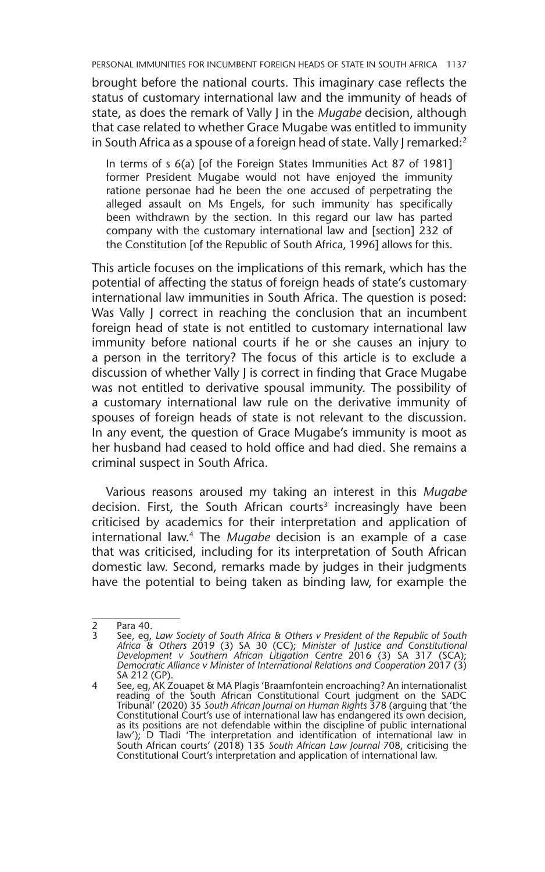brought before the national courts. This imaginary case reflects the status of customary international law and the immunity of heads of state, as does the remark of Vally J in the *Mugabe* decision, although that case related to whether Grace Mugabe was entitled to immunity in South Africa as a spouse of a foreign head of state. Vally J remarked:<sup>2</sup>

In terms of s 6(a) [of the Foreign States Immunities Act 87 of 1981] former President Mugabe would not have enjoyed the immunity ratione personae had he been the one accused of perpetrating the alleged assault on Ms Engels, for such immunity has specifically been withdrawn by the section. In this regard our law has parted company with the customary international law and [section] 232 of the Constitution [of the Republic of South Africa, 1996] allows for this.

This article focuses on the implications of this remark, which has the potential of affecting the status of foreign heads of state's customary international law immunities in South Africa. The question is posed: Was Vally J correct in reaching the conclusion that an incumbent foreign head of state is not entitled to customary international law immunity before national courts if he or she causes an injury to a person in the territory? The focus of this article is to exclude a discussion of whether Vally J is correct in finding that Grace Mugabe was not entitled to derivative spousal immunity. The possibility of a customary international law rule on the derivative immunity of spouses of foreign heads of state is not relevant to the discussion. In any event, the question of Grace Mugabe's immunity is moot as her husband had ceased to hold office and had died. She remains a criminal suspect in South Africa.

Various reasons aroused my taking an interest in this *Mugabe* decision. First, the South African courts<sup>3</sup> increasingly have been criticised by academics for their interpretation and application of international law.4 The *Mugabe* decision is an example of a case that was criticised, including for its interpretation of South African domestic law. Second, remarks made by judges in their judgments have the potential to being taken as binding law, for example the

 $\frac{2}{3}$  Para 40.

<sup>3</sup> See, eg, *Law Society of South Africa & Others v President of the Republic of South Africa & Others* 2019 (3) SA 30 (CC); *Minister of Justice and Constitutional Development v Southern African Litigation Centre* 2016 (3) SA 317 (SCA); *Democratic Alliance v Minister of International Relations and Cooperation* 2017 (3) SA 212 (GP).

<sup>4</sup> See, eg, AK Zouapet & MA Plagis 'Braamfontein encroaching? An internationalist reading of the South African Constitutional Court judgment on the SADC Tribunal' (2020) 35 *South African Journal on Human Rights* 378 (arguing that 'the Constitutional Court's use of international law has endangered its own decision, as its positions are not defendable within the discipline of public international law'); D Tladi 'The interpretation and identification of international law in South African courts' (2018) 135 *South African Law Journal* 708, criticising the Constitutional Court's interpretation and application of international law.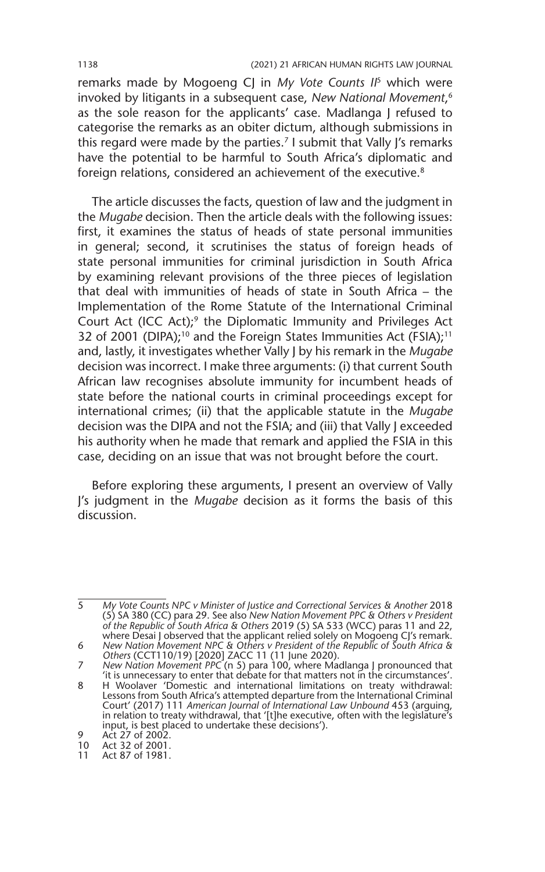#### 1138 (2021) 21 AFRICAN HUMAN RIGHTS LAW JOURNAL

remarks made by Mogoeng CJ in *My Vote Counts II*5 which were invoked by litigants in a subsequent case, *New National Movement*, 6 as the sole reason for the applicants' case. Madlanga J refused to categorise the remarks as an obiter dictum, although submissions in this regard were made by the parties.<sup>7</sup> I submit that Vally I's remarks have the potential to be harmful to South Africa's diplomatic and foreign relations, considered an achievement of the executive.<sup>8</sup>

The article discusses the facts, question of law and the judgment in the *Mugabe* decision. Then the article deals with the following issues: first, it examines the status of heads of state personal immunities in general; second, it scrutinises the status of foreign heads of state personal immunities for criminal jurisdiction in South Africa by examining relevant provisions of the three pieces of legislation that deal with immunities of heads of state in South Africa – the Implementation of the Rome Statute of the International Criminal Court Act (ICC Act);9 the Diplomatic Immunity and Privileges Act 32 of 2001 (DIPA);<sup>10</sup> and the Foreign States Immunities Act (FSIA);<sup>11</sup> and, lastly, it investigates whether Vally J by his remark in the *Mugabe* decision was incorrect. I make three arguments: (i) that current South African law recognises absolute immunity for incumbent heads of state before the national courts in criminal proceedings except for international crimes; (ii) that the applicable statute in the *Mugabe* decision was the DIPA and not the FSIA; and (iii) that Vally J exceeded his authority when he made that remark and applied the FSIA in this case, deciding on an issue that was not brought before the court.

Before exploring these arguments, I present an overview of Vally J's judgment in the *Mugabe* decision as it forms the basis of this discussion.

<sup>5</sup> *My Vote Counts NPC v Minister of Justice and Correctional Services & Another* 2018 (5) SA 380 (CC) para 29. See also *New Nation Movement PPC & Others v President of the Republic of South Africa & Others* 2019 (5) SA 533 (WCC) paras 11 and 22, where Desai J observed that the applicant relied solely on Mogoeng CJ's remark.

<sup>6</sup> *New Nation Movement NPC & Others v President of the Republic of South Africa & Others* (CCT110/19) [2020] ZACC 11 (11 June 2020).

<sup>7</sup> *New Nation Movement PPC* (n 5) para 100, where Madlanga J pronounced that 'it is unnecessary to enter that debate for that matters not in the circumstances'.

<sup>8</sup> H Woolaver 'Domestic and international limitations on treaty withdrawal: Lessons from South Africa's attempted departure from the International Criminal Court' (2017) 111 *American Journal of International Law Unbound* 453 (arguing, in relation to treaty withdrawal, that '[t]he executive, often with the legislature's input, is best placed to undertake these decisions').

<sup>9</sup> Act 27 of 2002.

<sup>10</sup> Act 32 of 2001.

<sup>11</sup> Act 87 of 1981.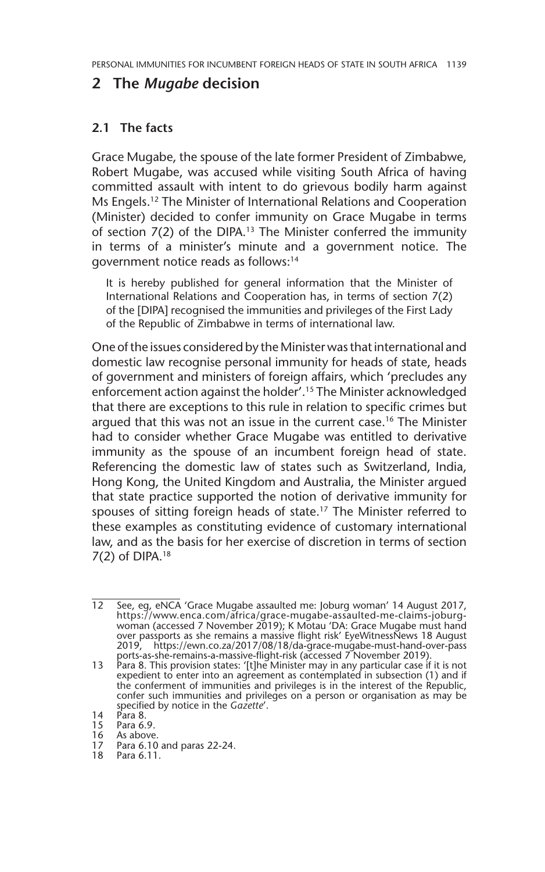### **2 The** *Mugabe* **decision**

#### **2.1 The facts**

Grace Mugabe, the spouse of the late former President of Zimbabwe, Robert Mugabe, was accused while visiting South Africa of having committed assault with intent to do grievous bodily harm against Ms Engels.12 The Minister of International Relations and Cooperation (Minister) decided to confer immunity on Grace Mugabe in terms of section  $7(2)$  of the DIPA.<sup>13</sup> The Minister conferred the immunity in terms of a minister's minute and a government notice. The government notice reads as follows:14

It is hereby published for general information that the Minister of International Relations and Cooperation has, in terms of section 7(2) of the [DIPA] recognised the immunities and privileges of the First Lady of the Republic of Zimbabwe in terms of international law.

One of the issues considered by the Minister was that international and domestic law recognise personal immunity for heads of state, heads of government and ministers of foreign affairs, which 'precludes any enforcement action against the holder'.<sup>15</sup> The Minister acknowledged that there are exceptions to this rule in relation to specific crimes but argued that this was not an issue in the current case.<sup>16</sup> The Minister had to consider whether Grace Mugabe was entitled to derivative immunity as the spouse of an incumbent foreign head of state. Referencing the domestic law of states such as Switzerland, India, Hong Kong, the United Kingdom and Australia, the Minister argued that state practice supported the notion of derivative immunity for spouses of sitting foreign heads of state.<sup>17</sup> The Minister referred to these examples as constituting evidence of customary international law, and as the basis for her exercise of discretion in terms of section  $7(2)$  of DIPA.<sup>18</sup>

18 Para 6.11.

<sup>12</sup> See, eg, eNCA 'Grace Mugabe assaulted me: Joburg woman' 14 August 2017, https://www.enca.com/africa/grace-mugabe-assaulted-me-claims-joburgwoman (accessed 7 November 2019); K Motau 'DA: Grace Mugabe must hand over passports as she remains a massive flight risk' EyeWitnessNews 18 August 2019, https://ewn.co.za/2017/08/18/da-grace-mugabe-must-hand-over-pass ports-as-she-remains-a-massive-flight-risk (accessed 7 November 2019).

<sup>13</sup> Para 8. This provision states: '[t]he Minister may in any particular case if it is not expedient to enter into an agreement as contemplated in subsection (1) and if the conferment of immunities and privileges is in the interest of the Republic, confer such immunities and privileges on a person or organisation as may be specified by notice in the *Gazette*'.

<sup>14</sup> Para 8.

<sup>15</sup> Para 6.9.<br>16 As above<br>17 Para 6.10 As above.

Para 6.10 and paras 22-24.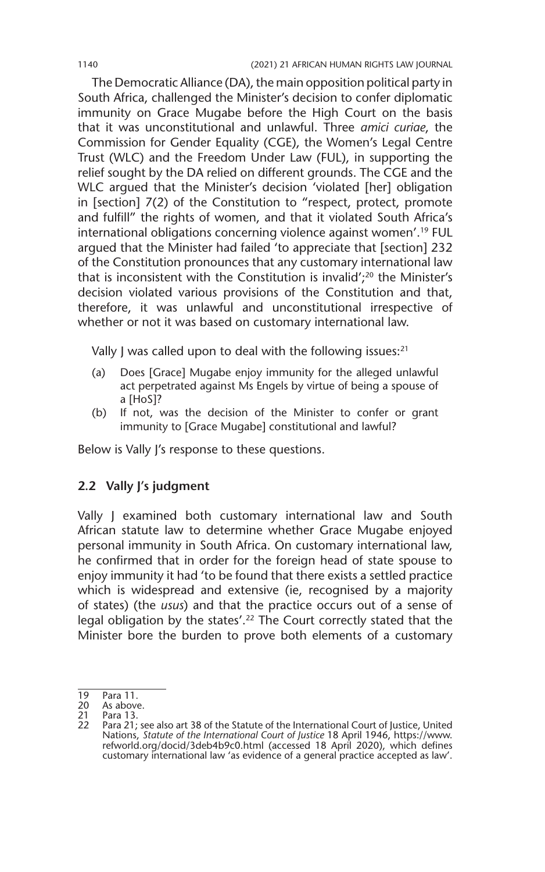The Democratic Alliance (DA), the main opposition political party in South Africa, challenged the Minister's decision to confer diplomatic immunity on Grace Mugabe before the High Court on the basis that it was unconstitutional and unlawful. Three *amici curiae*, the Commission for Gender Equality (CGE), the Women's Legal Centre Trust (WLC) and the Freedom Under Law (FUL), in supporting the relief sought by the DA relied on different grounds. The CGE and the WLC argued that the Minister's decision 'violated [her] obligation in [section] 7(2) of the Constitution to "respect, protect, promote and fulfill" the rights of women, and that it violated South Africa's international obligations concerning violence against women'.19 FUL argued that the Minister had failed 'to appreciate that [section] 232 of the Constitution pronounces that any customary international law that is inconsistent with the Constitution is invalid'; $20$  the Minister's decision violated various provisions of the Constitution and that, therefore, it was unlawful and unconstitutional irrespective of whether or not it was based on customary international law.

Vally J was called upon to deal with the following issues:<sup>21</sup>

- (a) Does [Grace] Mugabe enjoy immunity for the alleged unlawful act perpetrated against Ms Engels by virtue of being a spouse of a [HoS]?
- (b) If not, was the decision of the Minister to confer or grant immunity to [Grace Mugabe] constitutional and lawful?

Below is Vally J's response to these questions.

#### **2.2 Vally J's judgment**

Vally J examined both customary international law and South African statute law to determine whether Grace Mugabe enjoyed personal immunity in South Africa. On customary international law, he confirmed that in order for the foreign head of state spouse to enjoy immunity it had 'to be found that there exists a settled practice which is widespread and extensive (ie, recognised by a majority of states) (the *usus*) and that the practice occurs out of a sense of legal obligation by the states'.<sup>22</sup> The Court correctly stated that the Minister bore the burden to prove both elements of a customary

<sup>19</sup> Para 11.<br>20 As above

<sup>20</sup> As above.<br>21 Para 13.

Para 13.

<sup>22</sup> Para 21; see also art 38 of the Statute of the International Court of Justice, United Nations, *Statute of the International Court of Justice* 18 April 1946, https://www. refworld.org/docid/3deb4b9c0.html (accessed 18 April 2020), which defines customary international law 'as evidence of a general practice accepted as law'.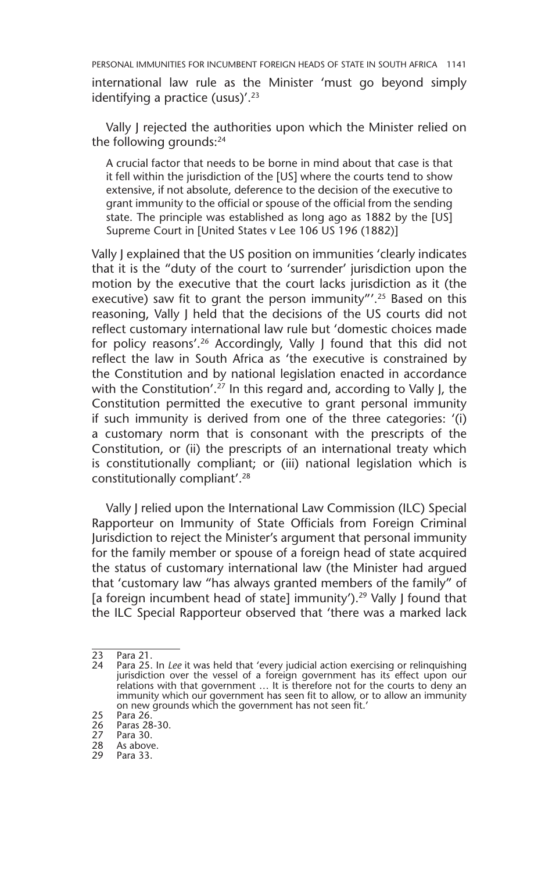international law rule as the Minister 'must go beyond simply identifying a practice (usus)'. $23$ 

Vally J rejected the authorities upon which the Minister relied on the following grounds:<sup>24</sup>

A crucial factor that needs to be borne in mind about that case is that it fell within the jurisdiction of the [US] where the courts tend to show extensive, if not absolute, deference to the decision of the executive to grant immunity to the official or spouse of the official from the sending state. The principle was established as long ago as 1882 by the [US] Supreme Court in [United States v Lee 106 US 196 (1882)]

Vally J explained that the US position on immunities 'clearly indicates that it is the "duty of the court to 'surrender' jurisdiction upon the motion by the executive that the court lacks jurisdiction as it (the executive) saw fit to grant the person immunity"'.<sup>25</sup> Based on this reasoning, Vally J held that the decisions of the US courts did not reflect customary international law rule but 'domestic choices made for policy reasons'.<sup>26</sup> Accordingly, Vally J found that this did not reflect the law in South Africa as 'the executive is constrained by the Constitution and by national legislation enacted in accordance with the Constitution'.<sup>27</sup> In this regard and, according to Vally J, the Constitution permitted the executive to grant personal immunity if such immunity is derived from one of the three categories: '(i) a customary norm that is consonant with the prescripts of the Constitution, or (ii) the prescripts of an international treaty which is constitutionally compliant; or (iii) national legislation which is constitutionally compliant'.28

Vally J relied upon the International Law Commission (ILC) Special Rapporteur on Immunity of State Officials from Foreign Criminal Jurisdiction to reject the Minister's argument that personal immunity for the family member or spouse of a foreign head of state acquired the status of customary international law (the Minister had argued that 'customary law "has always granted members of the family" of [a foreign incumbent head of state] immunity').<sup>29</sup> Vally J found that the ILC Special Rapporteur observed that 'there was a marked lack

<sup>23</sup> Para 21.

Para 25. In *Lee* it was held that 'every judicial action exercising or relinquishing jurisdiction over the vessel of a foreign government has its effect upon our relations with that government … It is therefore not for the courts to deny an immunity which our government has seen fit to allow, or to allow an immunity on new grounds which the government has not seen fit.'

<sup>25</sup> Para 26.

<sup>26</sup> Paras 28-30.

<sup>27</sup> Para 30.<br>28 As above

<sup>28</sup> As above.<br>29 Para 33.

Para 33.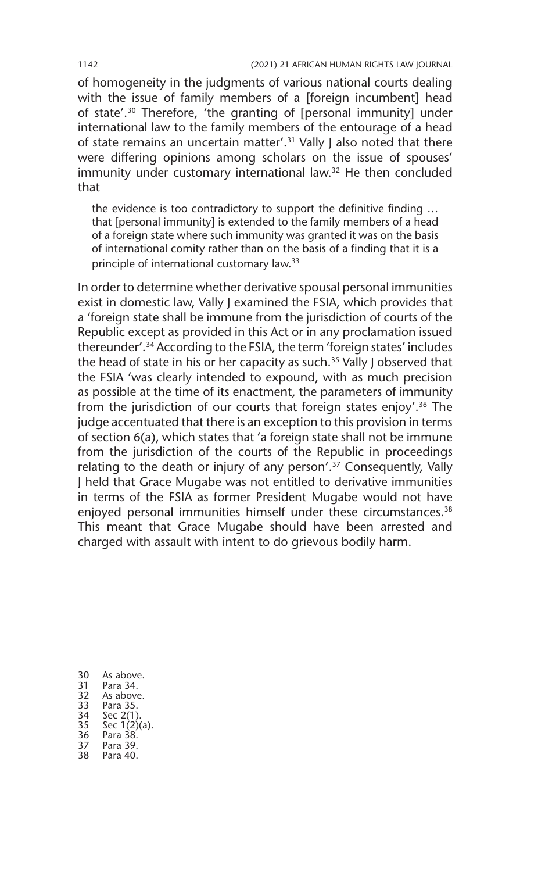of homogeneity in the judgments of various national courts dealing with the issue of family members of a [foreign incumbent] head of state'.30 Therefore, 'the granting of [personal immunity] under international law to the family members of the entourage of a head of state remains an uncertain matter'.<sup>31</sup> Vally J also noted that there were differing opinions among scholars on the issue of spouses' immunity under customary international law.32 He then concluded that

the evidence is too contradictory to support the definitive finding … that [personal immunity] is extended to the family members of a head of a foreign state where such immunity was granted it was on the basis of international comity rather than on the basis of a finding that it is a principle of international customary law.33

In order to determine whether derivative spousal personal immunities exist in domestic law, Vally J examined the FSIA, which provides that a 'foreign state shall be immune from the jurisdiction of courts of the Republic except as provided in this Act or in any proclamation issued thereunder'.34 According to the FSIA, the term 'foreign states' includes the head of state in his or her capacity as such.<sup>35</sup> Vally J observed that the FSIA 'was clearly intended to expound, with as much precision as possible at the time of its enactment, the parameters of immunity from the jurisdiction of our courts that foreign states enjoy'.36 The judge accentuated that there is an exception to this provision in terms of section 6(a), which states that 'a foreign state shall not be immune from the jurisdiction of the courts of the Republic in proceedings relating to the death or injury of any person'.<sup>37</sup> Consequently, Vally J held that Grace Mugabe was not entitled to derivative immunities in terms of the FSIA as former President Mugabe would not have enjoyed personal immunities himself under these circumstances.<sup>38</sup> This meant that Grace Mugabe should have been arrested and charged with assault with intent to do grievous bodily harm.

- 30 As above.<br>31 Para 34.
- Para 34.
- 32 As above.<br>33 Para 35.
- 33 Para 35.
- 34 Sec 2(1).<br>35 Sec 1(2)
- 35 Sec  $1(2)(a)$ .<br>36 Para 38. 36 Para 38.
- Para 39.
- 38 Para 40.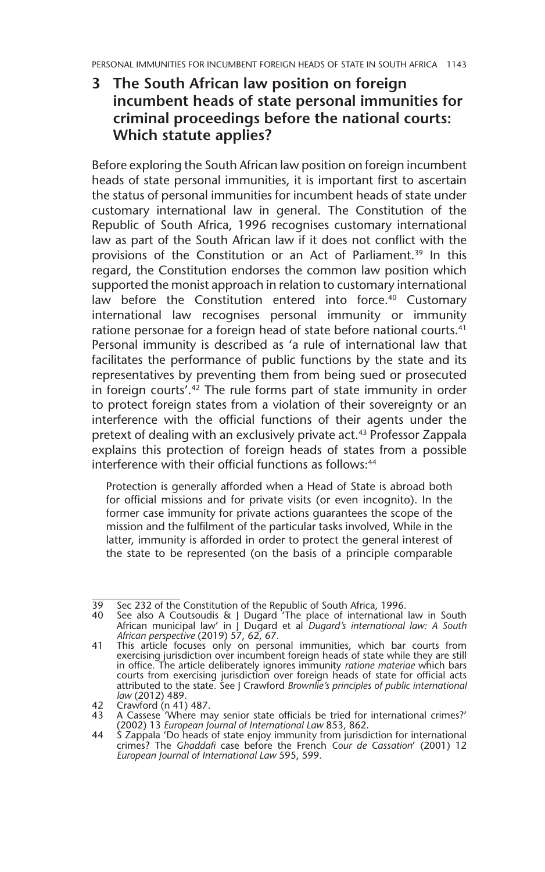**3 The South African law position on foreign incumbent heads of state personal immunities for criminal proceedings before the national courts: Which statute applies?**

Before exploring the South African law position on foreign incumbent heads of state personal immunities, it is important first to ascertain the status of personal immunities for incumbent heads of state under customary international law in general. The Constitution of the Republic of South Africa, 1996 recognises customary international law as part of the South African law if it does not conflict with the provisions of the Constitution or an Act of Parliament.<sup>39</sup> In this regard, the Constitution endorses the common law position which supported the monist approach in relation to customary international law before the Constitution entered into force.<sup>40</sup> Customary international law recognises personal immunity or immunity ratione personae for a foreign head of state before national courts.<sup>41</sup> Personal immunity is described as 'a rule of international law that facilitates the performance of public functions by the state and its representatives by preventing them from being sued or prosecuted in foreign courts'.<sup>42</sup> The rule forms part of state immunity in order to protect foreign states from a violation of their sovereignty or an interference with the official functions of their agents under the pretext of dealing with an exclusively private act.43 Professor Zappala explains this protection of foreign heads of states from a possible interference with their official functions as follows<sup>44</sup>

Protection is generally afforded when a Head of State is abroad both for official missions and for private visits (or even incognito). In the former case immunity for private actions guarantees the scope of the mission and the fulfilment of the particular tasks involved, While in the latter, immunity is afforded in order to protect the general interest of the state to be represented (on the basis of a principle comparable

<sup>39</sup> Sec 232 of the Constitution of the Republic of South Africa, 1996.

<sup>40</sup> See also A Coutsoudis & J Dugard 'The place of international law in South African municipal law' in J Dugard et al *Dugard's international law: A South African perspective* (2019) 57, 62, 67.

<sup>41</sup> This article focuses only on personal immunities, which bar courts from exercising jurisdiction over incumbent foreign heads of state while they are still in office. The article deliberately ignores immunity *ratione materiae* which bars courts from exercising jurisdiction over foreign heads of state for official acts attributed to the state. See J Crawford *Brownlie's principles of public international law* (2012) 489.

<sup>42</sup> Crawford (n 41) 487. 43 A Cassese 'Where may senior state officials be tried for international crimes?' (2002) 13 *European Journal of International Law* 853, 862.

<sup>44</sup> S Zappala 'Do heads of state enjoy immunity from jurisdiction for international crimes? The *Ghaddafi* case before the French *Cour de Cassation*' (2001) 12 *European Journal of International Law* 595, 599.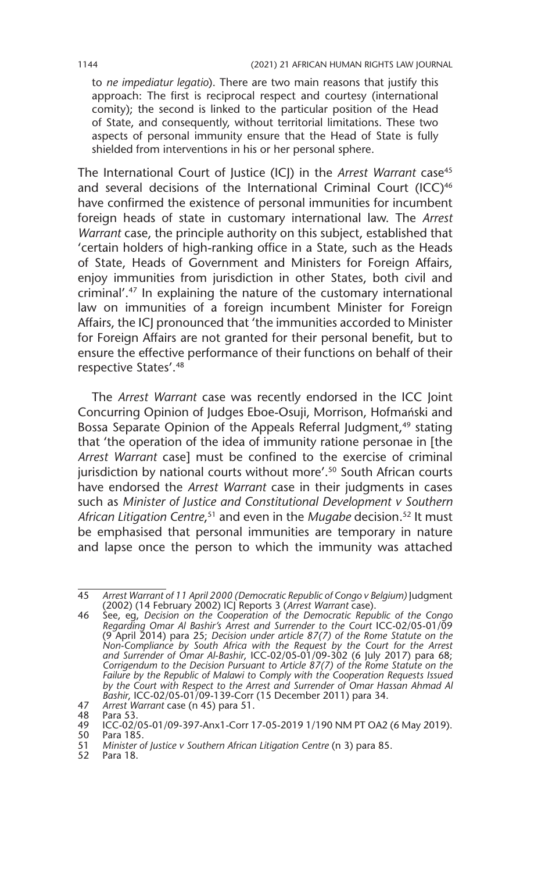to *ne impediatur legatio*). There are two main reasons that justify this approach: The first is reciprocal respect and courtesy (international comity); the second is linked to the particular position of the Head of State, and consequently, without territorial limitations. These two aspects of personal immunity ensure that the Head of State is fully shielded from interventions in his or her personal sphere.

The International Court of Justice (ICJ) in the *Arrest Warrant* case<sup>45</sup> and several decisions of the International Criminal Court (ICC)<sup>46</sup> have confirmed the existence of personal immunities for incumbent foreign heads of state in customary international law. The *Arrest Warrant* case, the principle authority on this subject, established that 'certain holders of high-ranking office in a State, such as the Heads of State, Heads of Government and Ministers for Foreign Affairs, enjoy immunities from jurisdiction in other States, both civil and criminal'.47 In explaining the nature of the customary international law on immunities of a foreign incumbent Minister for Foreign Affairs, the ICJ pronounced that 'the immunities accorded to Minister for Foreign Affairs are not granted for their personal benefit, but to ensure the effective performance of their functions on behalf of their respective States'.48

The *Arrest Warrant* case was recently endorsed in the ICC Joint Concurring Opinion of Judges Eboe-Osuji, Morrison, Hofmański and Bossa Separate Opinion of the Appeals Referral Judgment,<sup>49</sup> stating that 'the operation of the idea of immunity ratione personae in [the *Arrest Warrant* case] must be confined to the exercise of criminal jurisdiction by national courts without more'.<sup>50</sup> South African courts have endorsed the *Arrest Warrant* case in their judgments in cases such as *Minister of Justice and Constitutional Development v Southern*  African Litigation Centre,<sup>51</sup> and even in the *Mugabe* decision.<sup>52</sup> It must be emphasised that personal immunities are temporary in nature and lapse once the person to which the immunity was attached

52 Para 18.

<sup>45</sup> *Arrest Warrant of 11 April 2000 (Democratic Republic of Congo v Belgium)* Judgment (2002) (14 February 2002) ICJ Reports 3 (*Arrest Warrant* case).

<sup>46</sup> See, eg, *Decision on the Cooperation of the Democratic Republic of the Congo Regarding Omar Al Bashir's Arrest and Surrender to the Court* ICC-02/05-01/09 (9 April 2014) para 25; *Decision under article 87(7) of the Rome Statute on the Non-Compliance by South Africa with the Request by the Court for the Arrest and Surrender of Omar Al-Bashir*, ICC-02/05-01/09-302 (6 July 2017) para 68; *Corrigendum to the Decision Pursuant to Article 87(7) of the Rome Statute on the*  Failure by the Republic of Malawi to Comply with the Cooperation Requests Issued *by the Court with Respect to the Arrest and Surrender of Omar Hassan Ahmad Al Bashir*, ICC-02/05-01/09-139-Corr (15 December 2011) para 34.

<sup>47</sup> *Arrest Warrant* case (n 45) para 51.

<sup>48</sup> Para 53.<br>49 ICC-02/

<sup>49</sup> ICC-02/05-01/09-397-Anx1-Corr 17-05-2019 1/190 NM PT OA2 (6 May 2019).

<sup>50</sup> Para 185.<br>51 Minister o 51 *Minister of Justice v Southern African Litigation Centre* (n 3) para 85.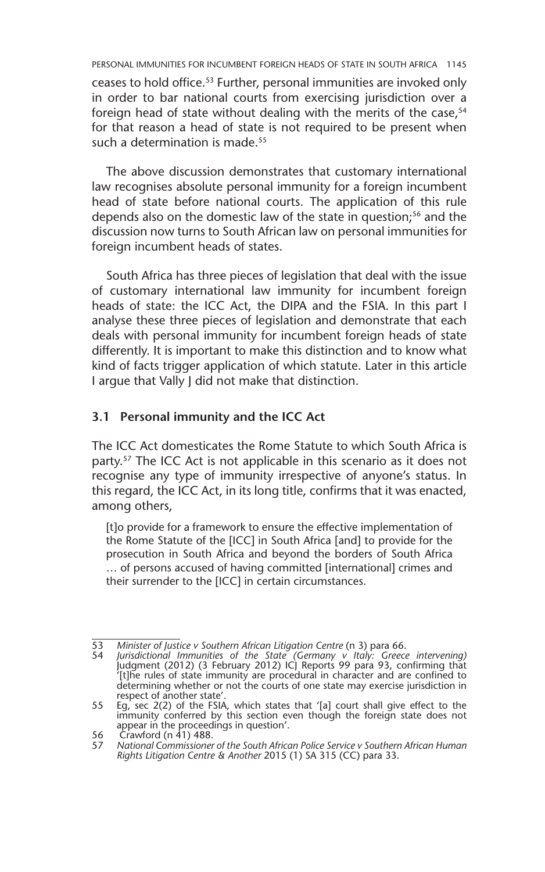ceases to hold office.53 Further, personal immunities are invoked only in order to bar national courts from exercising jurisdiction over a foreign head of state without dealing with the merits of the case,<sup>54</sup> for that reason a head of state is not required to be present when such a determination is made.<sup>55</sup>

The above discussion demonstrates that customary international law recognises absolute personal immunity for a foreign incumbent head of state before national courts. The application of this rule depends also on the domestic law of the state in question;<sup>56</sup> and the discussion now turns to South African law on personal immunities for foreign incumbent heads of states.

South Africa has three pieces of legislation that deal with the issue of customary international law immunity for incumbent foreign heads of state: the ICC Act, the DIPA and the FSIA. In this part I analyse these three pieces of legislation and demonstrate that each deals with personal immunity for incumbent foreign heads of state differently. It is important to make this distinction and to know what kind of facts trigger application of which statute. Later in this article I argue that Vally J did not make that distinction.

#### **3.1 Personal immunity and the ICC Act**

The ICC Act domesticates the Rome Statute to which South Africa is party.<sup>57</sup> The ICC Act is not applicable in this scenario as it does not recognise any type of immunity irrespective of anyone's status. In this regard, the ICC Act, in its long title, confirms that it was enacted, among others,

[t]o provide for a framework to ensure the effective implementation of the Rome Statute of the [ICC] in South Africa [and] to provide for the prosecution in South Africa and beyond the borders of South Africa … of persons accused of having committed [international] crimes and their surrender to the [ICC] in certain circumstances.

<sup>53</sup> *Minister of Justice v Southern African Litigation Centre* (n 3) para 66.

<sup>54</sup> *Jurisdictional Immunities of the State (Germany v Italy: Greece intervening)* Judgment (2012) (3 February 2012) ICJ Reports 99 para 93, confirming that '[t]he rules of state immunity are procedural in character and are confined to determining whether or not the courts of one state may exercise jurisdiction in respect of another state'.

<sup>55</sup> Eg, sec 2(2) of the FSIA, which states that '[a] court shall give effect to the immunity conferred by this section even though the foreign state does not appear in the proceedings in question'.

<sup>56</sup> Crawford (n 41) 488.<br>57 National Commissioner

<sup>57</sup> *National Commissioner of the South African Police Service v Southern African Human Rights Litigation Centre & Another* 2015 (1) SA 315 (CC) para 33.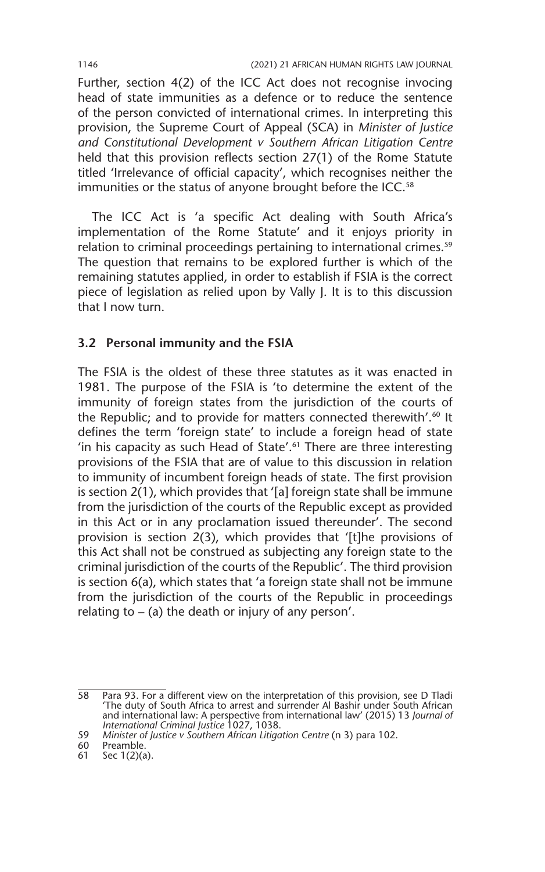Further, section 4(2) of the ICC Act does not recognise invocing head of state immunities as a defence or to reduce the sentence of the person convicted of international crimes. In interpreting this provision, the Supreme Court of Appeal (SCA) in *Minister of Justice and Constitutional Development v Southern African Litigation Centre* held that this provision reflects section 27(1) of the Rome Statute titled 'Irrelevance of official capacity', which recognises neither the immunities or the status of anyone brought before the ICC.<sup>58</sup>

The ICC Act is 'a specific Act dealing with South Africa's implementation of the Rome Statute' and it enjoys priority in relation to criminal proceedings pertaining to international crimes.<sup>59</sup> The question that remains to be explored further is which of the remaining statutes applied, in order to establish if FSIA is the correct piece of legislation as relied upon by Vally J. It is to this discussion that I now turn.

#### **3.2 Personal immunity and the FSIA**

The FSIA is the oldest of these three statutes as it was enacted in 1981. The purpose of the FSIA is 'to determine the extent of the immunity of foreign states from the jurisdiction of the courts of the Republic; and to provide for matters connected therewith'.<sup>60</sup> It defines the term 'foreign state' to include a foreign head of state 'in his capacity as such Head of State'.61 There are three interesting provisions of the FSIA that are of value to this discussion in relation to immunity of incumbent foreign heads of state. The first provision is section 2(1), which provides that '[a] foreign state shall be immune from the jurisdiction of the courts of the Republic except as provided in this Act or in any proclamation issued thereunder'. The second provision is section 2(3), which provides that '[t]he provisions of this Act shall not be construed as subjecting any foreign state to the criminal jurisdiction of the courts of the Republic'. The third provision is section 6(a), which states that 'a foreign state shall not be immune from the jurisdiction of the courts of the Republic in proceedings relating to  $-$  (a) the death or injury of any person'.

60 Preamble.

<sup>58</sup> Para 93. For a different view on the interpretation of this provision, see D Tladi 'The duty of South Africa to arrest and surrender Al Bashir under South African and international law: A perspective from international law' (2015) 13 *Journal of International Criminal Justice* 1027, 1038.

<sup>59</sup> *Minister of Justice v Southern African Litigation Centre* (n 3) para 102.

<sup>61</sup> Sec 1(2)(a).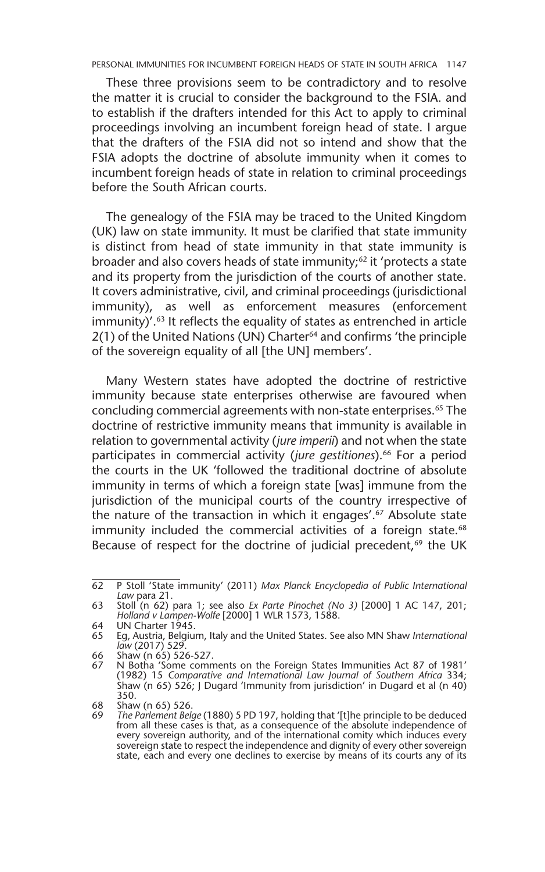These three provisions seem to be contradictory and to resolve the matter it is crucial to consider the background to the FSIA. and to establish if the drafters intended for this Act to apply to criminal proceedings involving an incumbent foreign head of state. I argue that the drafters of the FSIA did not so intend and show that the FSIA adopts the doctrine of absolute immunity when it comes to incumbent foreign heads of state in relation to criminal proceedings before the South African courts.

The genealogy of the FSIA may be traced to the United Kingdom (UK) law on state immunity. It must be clarified that state immunity is distinct from head of state immunity in that state immunity is broader and also covers heads of state immunity;<sup>62</sup> it 'protects a state and its property from the jurisdiction of the courts of another state. It covers administrative, civil, and criminal proceedings (jurisdictional immunity), as well as enforcement measures (enforcement immunity)'.63 It reflects the equality of states as entrenched in article 2(1) of the United Nations (UN) Charter<sup>64</sup> and confirms 'the principle of the sovereign equality of all [the UN] members'.

Many Western states have adopted the doctrine of restrictive immunity because state enterprises otherwise are favoured when concluding commercial agreements with non-state enterprises.65 The doctrine of restrictive immunity means that immunity is available in relation to governmental activity (*jure imperii*) and not when the state participates in commercial activity (*jure gestitiones*).<sup>66</sup> For a period the courts in the UK 'followed the traditional doctrine of absolute immunity in terms of which a foreign state [was] immune from the jurisdiction of the municipal courts of the country irrespective of the nature of the transaction in which it engages'.67 Absolute state immunity included the commercial activities of a foreign state.<sup>68</sup> Because of respect for the doctrine of judicial precedent,<sup>69</sup> the UK

<sup>62</sup> P Stoll 'State immunity' (2011) *Max Planck Encyclopedia of Public International Law* para 21.

<sup>63</sup> Stoll (n 62) para 1; see also *Ex Parte Pinochet (No 3)* [2000] 1 AC 147, 201; *Holland v Lampen-Wolfe* [2000] 1 WLR 1573, 1588.

<sup>64</sup> UN Charter 1945.

<sup>65</sup> Eg, Austria, Belgium, Italy and the United States. See also MN Shaw *International law* (2017) 529.

<sup>66</sup> Shaw (n 65) 526-527.

<sup>67</sup> N Botha 'Some comments on the Foreign States Immunities Act 87 of 1981' (1982) 15 *Comparative and International Law Journal of Southern Africa* 334; Shaw (n 65) 526; J Dugard 'Immunity from jurisdiction' in Dugard et al (n 40) 350.

<sup>68</sup> Shaw (n 65) 526.

<sup>69</sup> *The Parlement Belge* (1880) 5 PD 197, holding that '[t]he principle to be deduced from all these cases is that, as a consequence of the absolute independence of every sovereign authority, and of the international comity which induces every sovereign state to respect the independence and dignity of every other sovereign state, each and every one declines to exercise by means of its courts any of its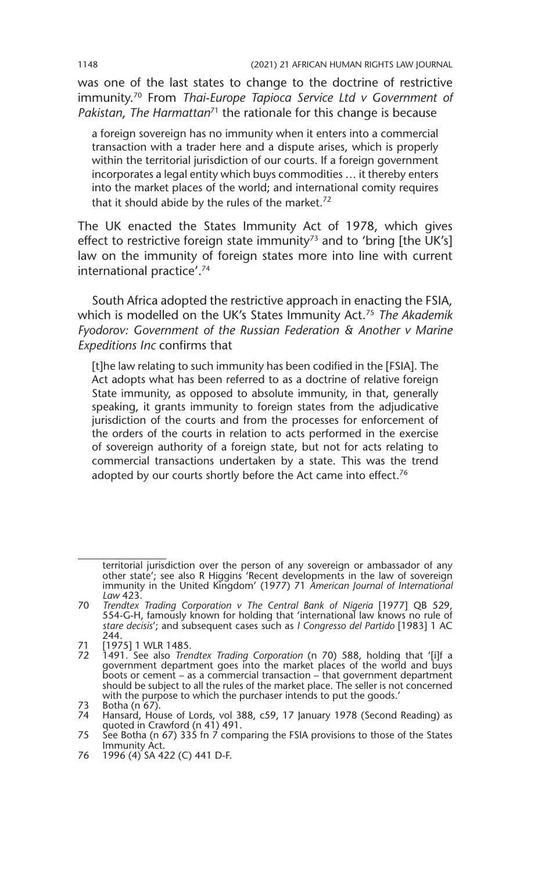was one of the last states to change to the doctrine of restrictive immunity.70 From *Thai-Europe Tapioca Service Ltd v Government of Pakistan*, *The Harmattan*71 the rationale for this change is because

a foreign sovereign has no immunity when it enters into a commercial transaction with a trader here and a dispute arises, which is properly within the territorial jurisdiction of our courts. If a foreign government incorporates a legal entity which buys commodities … it thereby enters into the market places of the world; and international comity requires that it should abide by the rules of the market.<sup>72</sup>

The UK enacted the States Immunity Act of 1978, which gives effect to restrictive foreign state immunity<sup>73</sup> and to 'bring [the UK's] law on the immunity of foreign states more into line with current international practice'.74

South Africa adopted the restrictive approach in enacting the FSIA, which is modelled on the UK's States Immunity Act.75 *The Akademik Fyodorov: Government of the Russian Federation & Another v Marine Expeditions Inc* confirms that

[t]he law relating to such immunity has been codified in the [FSIA]. The Act adopts what has been referred to as a doctrine of relative foreign State immunity, as opposed to absolute immunity, in that, generally speaking, it grants immunity to foreign states from the adjudicative jurisdiction of the courts and from the processes for enforcement of the orders of the courts in relation to acts performed in the exercise of sovereign authority of a foreign state, but not for acts relating to commercial transactions undertaken by a state. This was the trend adopted by our courts shortly before the Act came into effect.<sup>76</sup>

territorial jurisdiction over the person of any sovereign or ambassador of any other state'; see also R Higgins 'Recent developments in the law of sovereign immunity in the United Kingdom' (1977) 71 *American Journal of International Law* 423.

<sup>70</sup> *Trendtex Trading Corporation v The Central Bank of Nigeria* [1977] QB 529, 554-G-H, famously known for holding that 'international law knows no rule of *stare decisis*'; and subsequent cases such as *I Congresso del Partido* [1983] 1 AC 244.

<sup>71</sup> [1975] 1 WLR 1485.

<sup>72</sup> 1491. See also *Trendtex Trading Corporation* (n 70) 588, holding that '[i]f a government department goes into the market places of the world and buys boots or cement – as a commercial transaction – that government department should be subject to all the rules of the market place. The seller is not concerned with the purpose to which the purchaser intends to put the goods.'

<sup>73</sup> Botha (n 67). 74 Hansard, House of Lords, vol 388, c59, 17 January 1978 (Second Reading) as quoted in Crawford (n 41) 491.

<sup>75</sup> See Botha (n 67) 335 fn  $\overline{7}$  comparing the FSIA provisions to those of the States Immunity Act.

<sup>76</sup> 1996 (4) SA 422 (C) 441 D-F.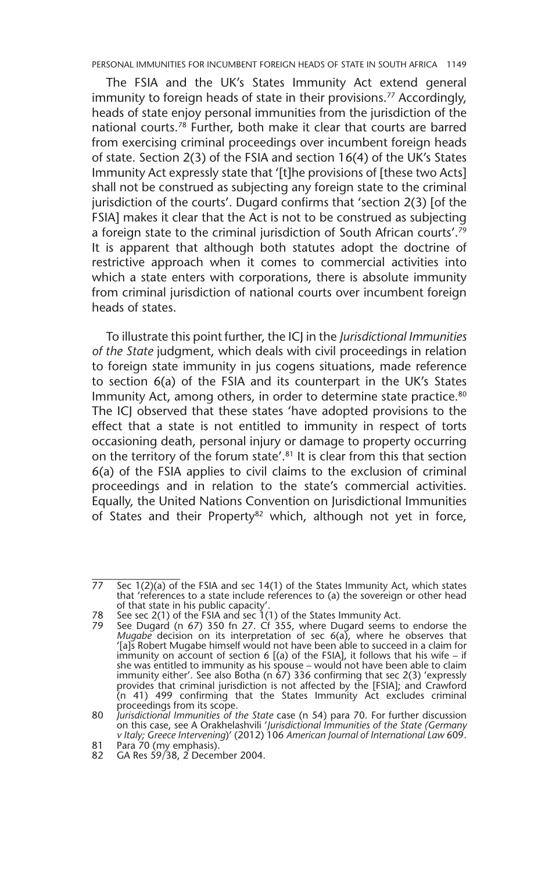The FSIA and the UK's States Immunity Act extend general immunity to foreign heads of state in their provisions.<sup>77</sup> Accordingly, heads of state enjoy personal immunities from the jurisdiction of the national courts.78 Further, both make it clear that courts are barred from exercising criminal proceedings over incumbent foreign heads of state. Section 2(3) of the FSIA and section 16(4) of the UK's States Immunity Act expressly state that '[t]he provisions of [these two Acts] shall not be construed as subjecting any foreign state to the criminal jurisdiction of the courts'. Dugard confirms that 'section 2(3) [of the FSIA] makes it clear that the Act is not to be construed as subjecting a foreign state to the criminal jurisdiction of South African courts'.79 It is apparent that although both statutes adopt the doctrine of restrictive approach when it comes to commercial activities into which a state enters with corporations, there is absolute immunity from criminal jurisdiction of national courts over incumbent foreign heads of states.

To illustrate this point further, the ICJ in the *Jurisdictional Immunities of the State* judgment, which deals with civil proceedings in relation to foreign state immunity in jus cogens situations, made reference to section 6(a) of the FSIA and its counterpart in the UK's States Immunity Act, among others, in order to determine state practice.<sup>80</sup> The ICJ observed that these states 'have adopted provisions to the effect that a state is not entitled to immunity in respect of torts occasioning death, personal injury or damage to property occurring on the territory of the forum state'.<sup>81</sup> It is clear from this that section 6(a) of the FSIA applies to civil claims to the exclusion of criminal proceedings and in relation to the state's commercial activities. Equally, the United Nations Convention on Jurisdictional Immunities of States and their Property<sup>82</sup> which, although not yet in force,

 $77$  Sec  $1(2)(a)$  of the FSIA and sec  $14(1)$  of the States Immunity Act, which states that 'references to a state include references to (a) the sovereign or other head of that state in his public capacity'.

<sup>78</sup> See sec 2(1) of the FSIA and sec 1(1) of the States Immunity Act.

<sup>79</sup> See Dugard (n 67) 350 fn 27. Cf 355, where Dugard seems to endorse the *Mugabe* decision on its interpretation of sec 6(a), where he observes that '[a]s Robert Mugabe himself would not have been able to succeed in a claim for immunity on account of section 6 [(a) of the FSIA], it follows that his wife – if she was entitled to immunity as his spouse – would not have been able to claim immunity either'. See also Botha (n 67) 336 confirming that sec 2(3) 'expressly provides that criminal jurisdiction is not affected by the [FSIA]; and Crawford (n 41) 499 confirming that the States Immunity Act excludes criminal

proceedings from its scope. 80 *Jurisdictional Immunities of the State* case (n 54) para 70. For further discussion on this case, see A Orakhelashvili '*Jurisdictional Immunities of the State (Germany v Italy; Greece Intervening*)' (2012) 106 *American Journal of International Law* 609.

<sup>81</sup> Para 70 (my emphasis).

<sup>82</sup> GA Res 59/38, 2 December 2004.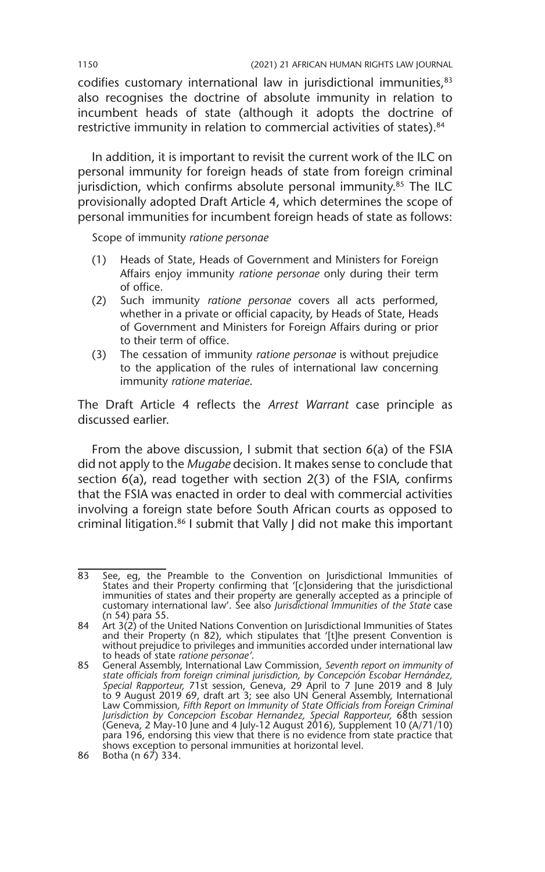codifies customary international law in jurisdictional immunities, 83 also recognises the doctrine of absolute immunity in relation to incumbent heads of state (although it adopts the doctrine of restrictive immunity in relation to commercial activities of states).<sup>84</sup>

In addition, it is important to revisit the current work of the ILC on personal immunity for foreign heads of state from foreign criminal jurisdiction, which confirms absolute personal immunity.<sup>85</sup> The ILC provisionally adopted Draft Article 4, which determines the scope of personal immunities for incumbent foreign heads of state as follows:

Scope of immunity *ratione personae*

- (1) Heads of State, Heads of Government and Ministers for Foreign Affairs enjoy immunity *ratione personae* only during their term of office.
- (2) Such immunity *ratione personae* covers all acts performed, whether in a private or official capacity, by Heads of State, Heads of Government and Ministers for Foreign Affairs during or prior to their term of office.
- (3) The cessation of immunity *ratione personae* is without prejudice to the application of the rules of international law concerning immunity *ratione materiae*.

The Draft Article 4 reflects the *Arrest Warrant* case principle as discussed earlier.

From the above discussion, I submit that section 6(a) of the FSIA did not apply to the *Mugabe* decision. It makes sense to conclude that section 6(a), read together with section 2(3) of the FSIA, confirms that the FSIA was enacted in order to deal with commercial activities involving a foreign state before South African courts as opposed to criminal litigation.86 I submit that Vally J did not make this important

<sup>83</sup> See, eg, the Preamble to the Convention on Jurisdictional Immunities of States and their Property confirming that '[c]onsidering that the jurisdictional immunities of states and their property are generally accepted as a principle of customary international law'. See also *Jurisdictional Immunities of the State* case (n 54) para 55.

<sup>84</sup> Art 3(2) of the United Nations Convention on Jurisdictional Immunities of States and their Property (n 82), which stipulates that '[t]he present Convention is without prejudice to privileges and immunities accorded under international law to heads of state *ratione personae'*.

<sup>85</sup> General Assembly, International Law Commission, *Seventh report on immunity of state officials from foreign criminal jurisdiction, by Concepción Escobar Hernández, Special Rapporteur,* 71st session, Geneva, 29 April to 7 June 2019 and 8 July to 9 August 2019 69, draft art 3; see also UN General Assembly, International Law Commission, Fifth Report on Immunity of State Officials from Foreign Criminal<br>Jurisdiction by Concepcion Escobar Hernandez, Special Rapporteur, 68th session<br>(Geneva, 2 May-10 June and 4 July-12 August 2016), Supplement para 196, endorsing this view that there is no evidence from state practice that shows exception to personal immunities at horizontal level.

<sup>86</sup> Botha (n 67) 334.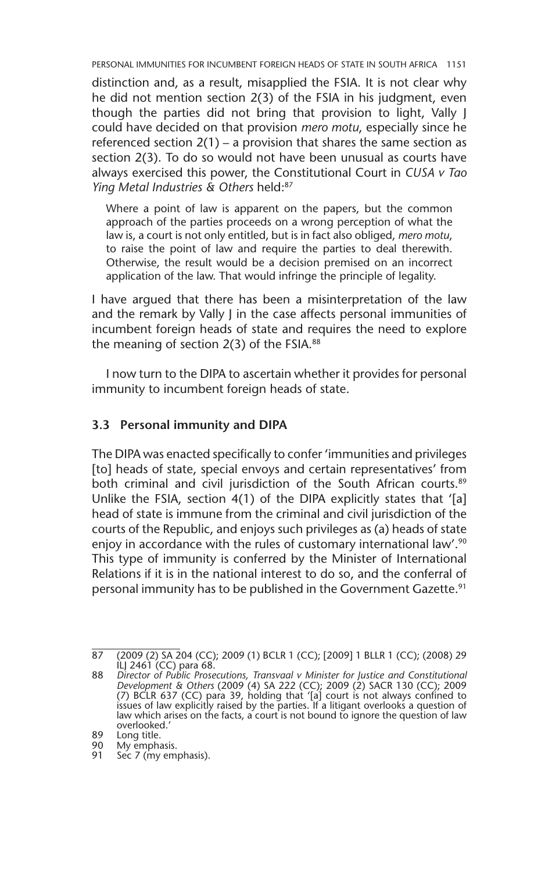distinction and, as a result, misapplied the FSIA. It is not clear why he did not mention section 2(3) of the FSIA in his judgment, even though the parties did not bring that provision to light, Vally J could have decided on that provision *mero motu*, especially since he referenced section  $2(1)$  – a provision that shares the same section as section 2(3). To do so would not have been unusual as courts have always exercised this power, the Constitutional Court in *CUSA v Tao Ying Metal Industries & Others* held:87

Where a point of law is apparent on the papers, but the common approach of the parties proceeds on a wrong perception of what the law is, a court is not only entitled, but is in fact also obliged, *mero motu*, to raise the point of law and require the parties to deal therewith. Otherwise, the result would be a decision premised on an incorrect application of the law. That would infringe the principle of legality.

I have argued that there has been a misinterpretation of the law and the remark by Vally I in the case affects personal immunities of incumbent foreign heads of state and requires the need to explore the meaning of section  $2(3)$  of the FSIA.<sup>88</sup>

I now turn to the DIPA to ascertain whether it provides for personal immunity to incumbent foreign heads of state.

#### **3.3 Personal immunity and DIPA**

The DIPA was enacted specifically to confer 'immunities and privileges [to] heads of state, special envoys and certain representatives' from both criminal and civil jurisdiction of the South African courts.<sup>89</sup> Unlike the FSIA, section 4(1) of the DIPA explicitly states that '[a] head of state is immune from the criminal and civil jurisdiction of the courts of the Republic, and enjoys such privileges as (a) heads of state enjoy in accordance with the rules of customary international law'.<sup>90</sup> This type of immunity is conferred by the Minister of International Relations if it is in the national interest to do so, and the conferral of personal immunity has to be published in the Government Gazette.<sup>91</sup>

<sup>87</sup> (2009 (2) SA 204 (CC); 2009 (1) BCLR 1 (CC); [2009] 1 BLLR 1 (CC); (2008) 29  $\tilde{L}$ | 2461 (CC) para 68.

<sup>88</sup> *Director of Public Prosecutions, Transvaal v Minister for Justice and Constitutional Development & Others* (2009 (4) SA 222 (CC); 2009 (2) SACR 130 (CC); 2009 (7) BCLR 637 (CC) para 39, holding that '[a] court is not always confined to issues of law explicitly raised by the parties. If a litigant overlooks a question of law which arises on the facts, a court is not bound to ignore the question of law overlooked.'

<sup>89</sup> Long title.<br>90 My empha

Sing une.<br>90 My emphasis.<br>91 Sec 7 (my em)

Sec 7 (my emphasis).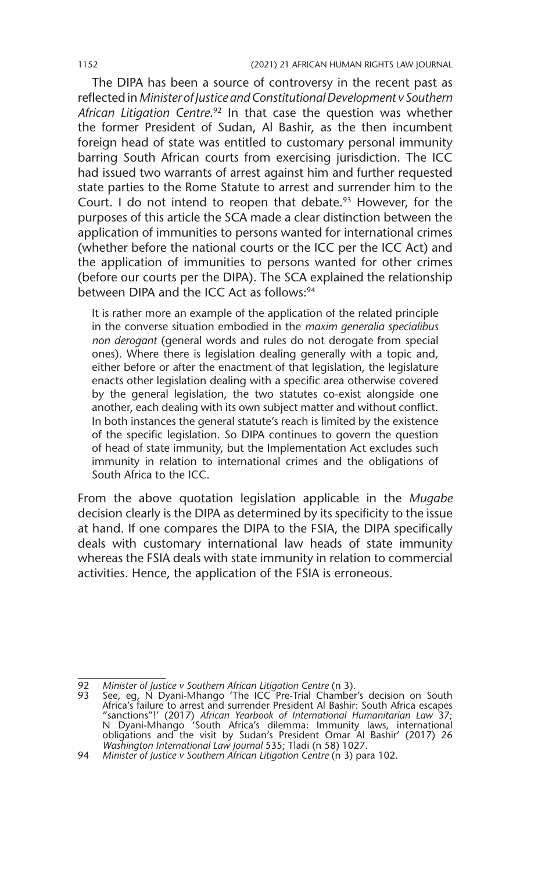The DIPA has been a source of controversy in the recent past as reflected in *Minister of Justice and Constitutional Development v Southern African Litigation Centre*. 92 In that case the question was whether the former President of Sudan, Al Bashir, as the then incumbent foreign head of state was entitled to customary personal immunity barring South African courts from exercising jurisdiction. The ICC had issued two warrants of arrest against him and further requested state parties to the Rome Statute to arrest and surrender him to the Court. I do not intend to reopen that debate. $93$  However, for the purposes of this article the SCA made a clear distinction between the application of immunities to persons wanted for international crimes (whether before the national courts or the ICC per the ICC Act) and the application of immunities to persons wanted for other crimes (before our courts per the DIPA). The SCA explained the relationship between DIPA and the ICC Act as follows:<sup>94</sup>

It is rather more an example of the application of the related principle in the converse situation embodied in the *maxim generalia specialibus non derogant* (general words and rules do not derogate from special ones). Where there is legislation dealing generally with a topic and, either before or after the enactment of that legislation, the legislature enacts other legislation dealing with a specific area otherwise covered by the general legislation, the two statutes co-exist alongside one another, each dealing with its own subject matter and without conflict. In both instances the general statute's reach is limited by the existence of the specific legislation. So DIPA continues to govern the question of head of state immunity, but the Implementation Act excludes such immunity in relation to international crimes and the obligations of South Africa to the ICC.

From the above quotation legislation applicable in the *Mugabe* decision clearly is the DIPA as determined by its specificity to the issue at hand. If one compares the DIPA to the FSIA, the DIPA specifically deals with customary international law heads of state immunity whereas the FSIA deals with state immunity in relation to commercial activities. Hence, the application of the FSIA is erroneous.

<sup>92</sup> *Minister of Justice v Southern African Litigation Centre* (n 3).

<sup>93</sup> See, eg, N Dyani-Mhango 'The ICC Pre-Trial Chamber's decision on South Africa's failure to arrest and surrender President Al Bashir: South Africa escapes<br>"sanctions"!' (2017) *African Yearbook of International Humanitarian Law 37;*<br>N Dyani-Mhango 'South Africa's dilemma: Immunity laws, intern obligations and the visit by Sudan's President Omar Al Bashir' (2017) 26 *Washington International Law Journal* 535; Tladi (n 58) 1027.

<sup>94</sup> *Minister of Justice v Southern African Litigation Centre* (n 3) para 102.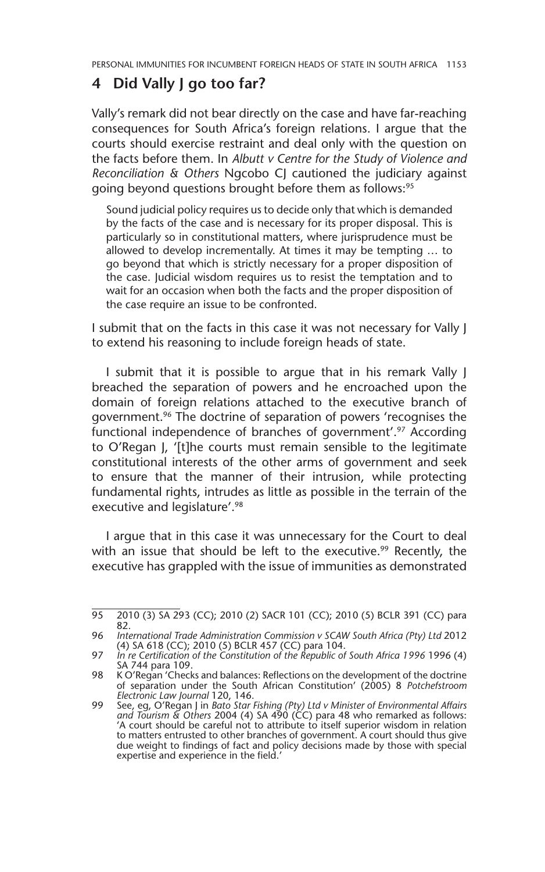# **4 Did Vally J go too far?**

Vally's remark did not bear directly on the case and have far-reaching consequences for South Africa's foreign relations. I argue that the courts should exercise restraint and deal only with the question on the facts before them. In *Albutt v Centre for the Study of Violence and Reconciliation & Others* Ngcobo CJ cautioned the judiciary against going beyond questions brought before them as follows:<sup>95</sup>

Sound judicial policy requires us to decide only that which is demanded by the facts of the case and is necessary for its proper disposal. This is particularly so in constitutional matters, where jurisprudence must be allowed to develop incrementally. At times it may be tempting … to go beyond that which is strictly necessary for a proper disposition of the case. Judicial wisdom requires us to resist the temptation and to wait for an occasion when both the facts and the proper disposition of the case require an issue to be confronted.

I submit that on the facts in this case it was not necessary for Vally J to extend his reasoning to include foreign heads of state.

I submit that it is possible to argue that in his remark Vally J breached the separation of powers and he encroached upon the domain of foreign relations attached to the executive branch of government.<sup>96</sup> The doctrine of separation of powers 'recognises the functional independence of branches of government'.<sup>97</sup> According to O'Regan J, '[t]he courts must remain sensible to the legitimate constitutional interests of the other arms of government and seek to ensure that the manner of their intrusion, while protecting fundamental rights, intrudes as little as possible in the terrain of the executive and legislature'.98

I argue that in this case it was unnecessary for the Court to deal with an issue that should be left to the executive.<sup>99</sup> Recently, the executive has grappled with the issue of immunities as demonstrated

<sup>95</sup> 2010 (3) SA 293 (CC); 2010 (2) SACR 101 (CC); 2010 (5) BCLR 391 (CC) para 82.

<sup>96</sup> *International Trade Administration Commission v SCAW South Africa (Pty) Ltd* 2012 (4) SA 618 (CC); 2010 (5) BCLR 457 (CC) para 104.

<sup>97</sup> *In re Certification of the Constitution of the Republic of South Africa 1996* 1996 (4) SA 744 para 109.

<sup>98</sup> K O'Regan 'Checks and balances: Reflections on the development of the doctrine of separation under the South African Constitution' (2005) 8 *Potchefstroom Electronic Law Journal* 120, 146.

<sup>99</sup> See, eg, O'Regan J in *Bato Star Fishing (Pty) Ltd v Minister of Environmental Affairs and Tourism & Others* 2004 (4) SA 490 (CC) para 48 who remarked as follows: 'A court should be careful not to attribute to itself superior wisdom in relation to matters entrusted to other branches of government. A court should thus give due weight to findings of fact and policy decisions made by those with special expertise and experience in the field.'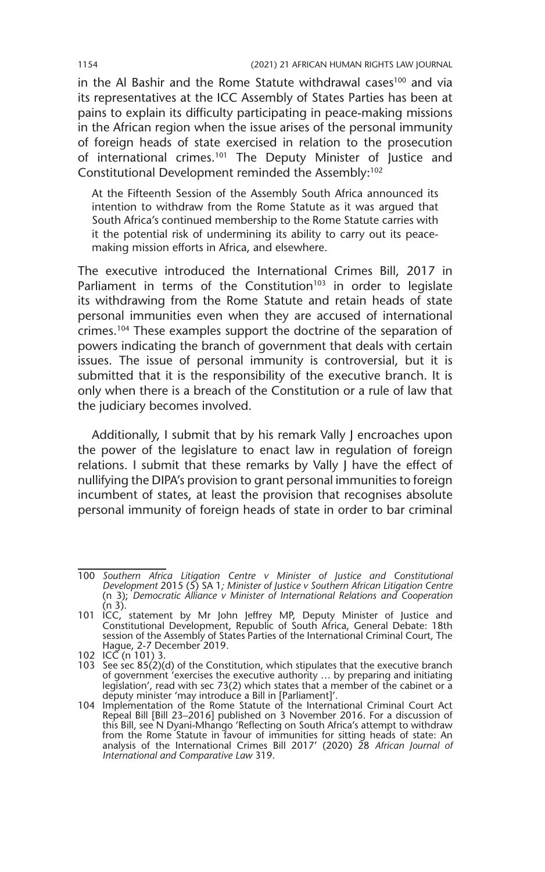in the Al Bashir and the Rome Statute withdrawal cases<sup>100</sup> and via its representatives at the ICC Assembly of States Parties has been at pains to explain its difficulty participating in peace-making missions in the African region when the issue arises of the personal immunity of foreign heads of state exercised in relation to the prosecution of international crimes.<sup>101</sup> The Deputy Minister of Justice and Constitutional Development reminded the Assembly:102

At the Fifteenth Session of the Assembly South Africa announced its intention to withdraw from the Rome Statute as it was argued that South Africa's continued membership to the Rome Statute carries with it the potential risk of undermining its ability to carry out its peacemaking mission efforts in Africa, and elsewhere.

The executive introduced the International Crimes Bill, 2017 in Parliament in terms of the Constitution<sup>103</sup> in order to legislate its withdrawing from the Rome Statute and retain heads of state personal immunities even when they are accused of international crimes.104 These examples support the doctrine of the separation of powers indicating the branch of government that deals with certain issues. The issue of personal immunity is controversial, but it is submitted that it is the responsibility of the executive branch. It is only when there is a breach of the Constitution or a rule of law that the judiciary becomes involved.

Additionally, I submit that by his remark Vally J encroaches upon the power of the legislature to enact law in regulation of foreign relations. I submit that these remarks by Vally J have the effect of nullifying the DIPA's provision to grant personal immunities to foreign incumbent of states, at least the provision that recognises absolute personal immunity of foreign heads of state in order to bar criminal

<sup>100</sup> *Southern Africa Litigation Centre v Minister of Justice and Constitutional Development* 2015 (5) SA 1*; Minister of Justice v Southern African Litigation Centre* (n 3); *Democratic Alliance v Minister of International Relations and Cooperation*  $(n 3)$ .

<sup>101</sup> ICC, statement by Mr John Jeffrey MP, Deputy Minister of Justice and Constitutional Development, Republic of South Africa, General Debate: 18th session of the Assembly of States Parties of the International Criminal Court, The Hague, 2-7 December 2019.

<sup>102</sup> ICC (n 101) 3.

<sup>103</sup> See sec  $85(2)(d)$  of the Constitution, which stipulates that the executive branch of government 'exercises the executive authority … by preparing and initiating legislation', read with sec 73(2) which states that a member of the cabinet or a deputy minister 'may introduce a Bill in [Parliament]'.

<sup>104</sup> Implementation of the Rome Statute of the International Criminal Court Act<br>Repeal Bill [Bill 23–2016] published on 3 November 2016. For a discussion of<br>this Bill, see N Dyani-Mhango 'Reflecting on South Africa's attemp from the Rome Statute in favour of immunities for sitting heads of state: An analysis of the International Crimes Bill 2017' (2020) 28 *African Journal of International and Comparative Law* 319.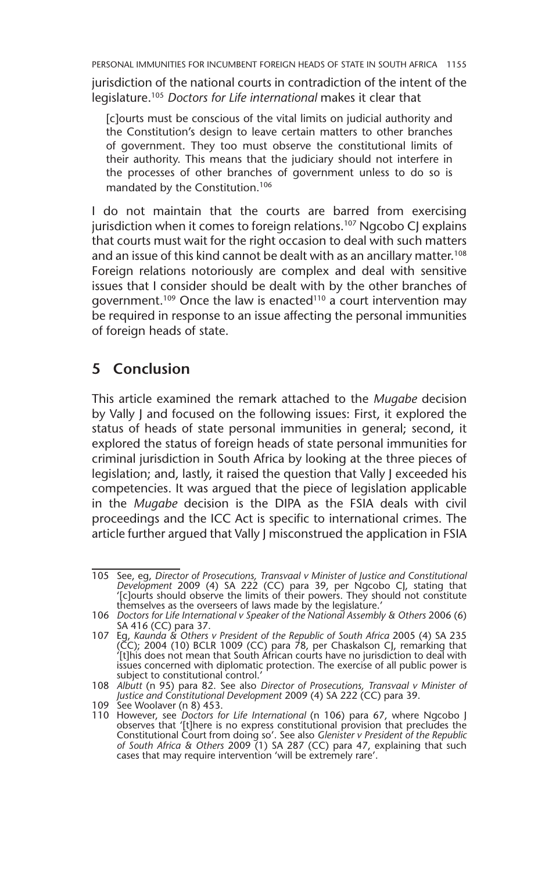jurisdiction of the national courts in contradiction of the intent of the legislature.105 *Doctors for Life international* makes it clear that

[c]ourts must be conscious of the vital limits on judicial authority and the Constitution's design to leave certain matters to other branches of government. They too must observe the constitutional limits of their authority. This means that the judiciary should not interfere in the processes of other branches of government unless to do so is mandated by the Constitution.106

I do not maintain that the courts are barred from exercising jurisdiction when it comes to foreign relations.<sup>107</sup> Ngcobo CJ explains that courts must wait for the right occasion to deal with such matters and an issue of this kind cannot be dealt with as an ancillary matter.<sup>108</sup> Foreign relations notoriously are complex and deal with sensitive issues that I consider should be dealt with by the other branches of government.<sup>109</sup> Once the law is enacted<sup>110</sup> a court intervention may be required in response to an issue affecting the personal immunities of foreign heads of state.

# **5 Conclusion**

This article examined the remark attached to the *Mugabe* decision by Vally J and focused on the following issues: First, it explored the status of heads of state personal immunities in general; second, it explored the status of foreign heads of state personal immunities for criminal jurisdiction in South Africa by looking at the three pieces of legislation; and, lastly, it raised the question that Vally J exceeded his competencies. It was argued that the piece of legislation applicable in the *Mugabe* decision is the DIPA as the FSIA deals with civil proceedings and the ICC Act is specific to international crimes. The article further argued that Vally J misconstrued the application in FSIA

<sup>105</sup> See, eg, *Director of Prosecutions, Transvaal v Minister of Justice and Constitutional Development* 2009 (4) SA 222 (CC) para 39, per Ngcobo CJ, stating that '[c]ourts should observe the limits of their powers. They should not constitute themselves as the overseers of laws made by the legislature.'

<sup>106</sup> *Doctors for Life International v Speaker of the National Assembly & Others* 2006 (6) SA 416 (CC) para 37.

<sup>107</sup> Eg, *Kaunda & Others v President of the Republic of South Africa* 2005 (4) SA 235 (CC); 2004 (10) BCLR 1009 (CC) para 78, per Chaskalson CJ, remarking that '[t]his does not mean that South African courts have no jurisdiction to deal with issues concerned with diplomatic protection. The exercise of all public power is subject to constitutional control.

<sup>108</sup> *Albutt* (n 95) para 82. See also *Director of Prosecutions, Transvaal v Minister of Justice and Constitutional Development* 2009 (4) SA 222 (CC) para 39.

<sup>109</sup> See Woolaver (n 8) 453.

<sup>110</sup> However, see *Doctors for Life International* (n 106) para 67, where Ngcobo J observes that '[t]here is no express constitutional provision that precludes the Constitutional Court from doing so'. See also *Glenister v President of the Republic of South Africa & Others* 2009 (1) SA 287 (CC) para 47, explaining that such cases that may require intervention 'will be extremely rare'.